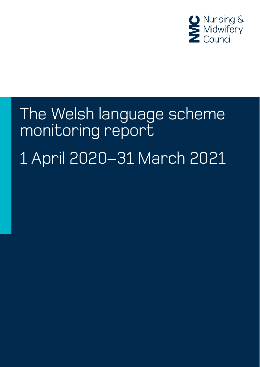

# The Welsh language scheme monitoring report 1 April 2020–31 March 2021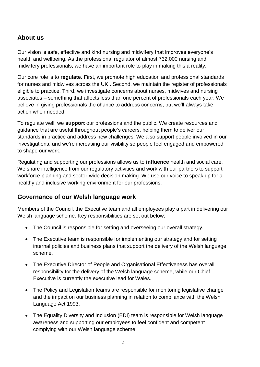### **About us**

Our vision is safe, effective and kind nursing and midwifery that improves everyone's health and wellbeing. As the professional regulator of almost 732,000 nursing and midwifery professionals, we have an important role to play in making this a reality.

Our core role is to **regulate**. First, we promote high education and professional standards for nurses and midwives across the UK.. Second, we maintain the register of professionals eligible to practice. Third, we investigate concerns about nurses, midwives and nursing associates – something that affects less than one percent of professionals each year. We believe in giving professionals the chance to address concerns, but we'll always take action when needed.

To regulate well, we **support** our professions and the public. We create resources and guidance that are useful throughout people's careers, helping them to deliver our standards in practice and address new challenges. We also support people involved in our investigations, and we're increasing our visibility so people feel engaged and empowered to shape our work.

Regulating and supporting our professions allows us to **influence** health and social care. We share intelligence from our regulatory activities and work with our partners to support workforce planning and sector-wide decision making. We use our voice to speak up for a healthy and inclusive working environment for our professions.

#### **Governance of our Welsh language work**

Members of the Council, the Executive team and all employees play a part in delivering our Welsh language scheme. Key responsibilities are set out below:

- The Council is responsible for setting and overseeing our overall strategy.
- The Executive team is responsible for implementing our strategy and for setting internal policies and business plans that support the delivery of the Welsh language scheme.
- The Executive Director of People and Organisational Effectiveness has overall responsibility for the delivery of the Welsh language scheme, while our Chief Executive is currently the executive lead for Wales.
- The Policy and Legislation teams are responsible for monitoring legislative change and the impact on our business planning in relation to compliance with the Welsh Language Act 1993.
- The Equality Diversity and Inclusion (EDI) team is responsible for Welsh language awareness and supporting our employees to feel confident and competent complying with our Welsh language scheme.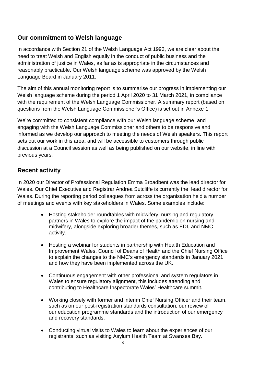### **Our commitment to Welsh language**

In accordance with Section 21 of the Welsh Language Act 1993, we are clear about the need to treat Welsh and English equally in the conduct of public business and the administration of justice in Wales, as far as is appropriate in the circumstances and reasonably practicable. Our Welsh language scheme was approved by the Welsh Language Board in January 2011.

The aim of this annual monitoring report is to summarise our progress in implementing our Welsh language scheme during the period 1 April 2020 to 31 March 2021, in compliance with the requirement of the Welsh Language Commissioner. A summary report (based on questions from the Welsh Language Commissioner's Office) is set out in Annexe 1.

We're committed to consistent compliance with our Welsh language scheme, and engaging with the Welsh Language Commissioner and others to be responsive and informed as we develop our approach to meeting the needs of Welsh speakers. This report sets out our work in this area, and will be accessible to customers through public discussion at a Council session as well as being published on our website, in line with previous years.

## **Recent activity**

In 2020 our Director of Professional Regulation Emma Broadbent was the lead director for Wales. Our Chief Executive and Registrar Andrea Sutcliffe is currently the lead director for Wales. During the reporting period colleagues from across the organisation held a number of meetings and events with key stakeholders in Wales. Some examples include:

- Hosting stakeholder roundtables with midwifery, nursing and regulatory partners in Wales to explore the impact of the pandemic on nursing and midwifery, alongside exploring broader themes, such as EDI, and NMC activity.
- Hosting a webinar for students in partnership with Health Education and Improvement Wales, Council of Deans of Health and the Chief Nursing Office to explain the changes to the NMC's emergency standards in January 2021 and how they have been implemented across the UK.
- Continuous engagement with other professional and system regulators in Wales to ensure regulatory alignment, this includes attending and contributing to Healthcare Inspectorate Wales' Healthcare summit.
- Working closely with former and interim Chief Nursing Officer and their team, such as on our post-registration standards consultation, our review of our education programme standards and the introduction of our emergency and recovery standards.
- Conducting virtual visits to Wales to learn about the experiences of our registrants, such as visiting Asylum Health Team at Swansea Bay.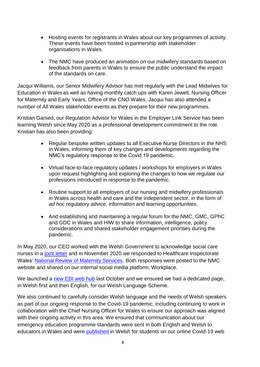- Hosting events for registrants in Wales about our key programmes of activity. These events have been hosted in partnership with stakeholder organisations in Wales.
- The NMC have produced an animation on our midwifery standards based on feedback from parents in Wales to ensure the public understand the impact of the standards on care.

Jacqui Williams, our Senior Midwifery Advisor has met regularly with the Lead Midwives for Education in Wales as well as having monthly catch ups with Karen Jewell, Nursing Officer for Maternity and Early Years, Office of the CNO Wales. Jacqui has also attended a number of All Wales stakeholder events as they prepare for their new programmes.

Kristian Garsed, our Regulation Advisor for Wales in the Employer Link Service has been learning Welsh since May 2020 as a professional development commitment to the role. Kristian has also been providing:

- Regular bespoke written updates to all Executive Nurse Directors in the NHS in Wales, informing them of key changes and developments regarding the NMC's regulatory response to the Covid 19 pandemic.
- Virtual face-to-face regulatory updates / workshops for employers in Wales upon request highlighting and exploring the changes to how we regulate our professions introduced in response to the pandemic.
- Routine support to all employers of our nursing and midwifery professionals in Wales across health and care and the independent sector, in the form of *ad hoc* regulatory advice, information and learning opportunities.
- And establishing and maintaining a regular forum for the NMC, GMC, GPhC and GDC in Wales and HIW to share information, intelligence, policy considerations and shared stakeholder engagement priorities during the pandemic.

In May 2020, our CEO worked with the Welsh Government to acknowledge social care nurses in a [joint letter](https://www.nmc.org.uk/news/news-and-updates/nmc-joins-welsh-government-to-thank-social-care-nurses) and in November 2020 we responded to Healthcare Inspectorate Wales' [National Review of Maternity Services.](https://www.nmc.org.uk/news/news-and-updates/response-to-hiw-national-review-of-maternity-services/) Both responses were posted to the NMC website and shared on our internal social media platform, Workplace.

We launched a [new EDI web hub](https://www.nmc.org.uk/about-us/equality-diversity-and-inclusion/equality-updates/) last October and we ensured we had a dedicated page, in Welsh first and then English, for our Welsh Language Scheme.

We also continued to carefully consider Welsh language and the needs of Welsh speakers as part of our ongoing response to the Covid-19 pandemic, including continuing to work in collaboration with the Chief Nursing Officer for Wales to ensure our approach was aligned with their ongoing activity in this area. We ensured that communication about our emergency education programme standards were sent in both English and Welsh to educators in Wales and were [published](https://www.nmc.org.uk/globalassets/sitedocuments/education-standards/welsh-current-emergency-and-recovery-programme-standards.pdf) in Welsh for students on our online Covid-19 web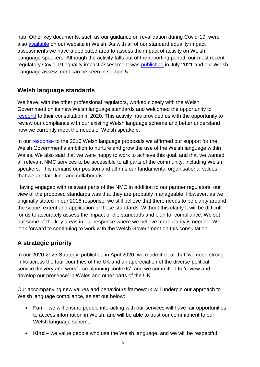hub. Other key documents, such as our guidance on revalidation during Covid-19, were also [available](https://www.nmc.org.uk/globalassets/sitedocuments/revalidation/how-to-revalidate-during-covid-19---welsh.pdf) on our website in Welsh. As with all of our standard equality impact assessments we have a dedicated area to assess the impact of activity on Welsh Language speakers. Although the activity falls out of the reporting period, our most recent regulatory Covid-19 equality impact assessment was [published](https://www.nmc.org.uk/globalassets/sitedocuments/eqias/covid-19-eqia-version-5.pdf) in July 2021 and our Welsh Language assessment can be seen in section 5.

#### **Welsh language standards**

We have, with the other professional regulators, worked closely with the Welsh Government on its new Welsh language standards and welcomed the opportunity to [respond](https://www.nmc.org.uk/globalassets/sitedocuments/consultations/nmc-responses/2020/nmc-response-to-consultation-on-welsh-language-standards-healthcare-regulators-regulations---english.pdf) to their consultation in 2020. This activity has provided us with the opportunity to review our compliance with our existing Welsh language scheme and better understand how we currently meet the needs of Welsh speakers.

In our [response](https://www.nmc.org.uk/globalassets/sitedocuments/consultations/nmc-responses/2016/nmc-response-consultation-welsh-language-standards-healthcare.pdf) to the 2016 Welsh language proposals we affirmed our support for the Welsh Government's ambition to nurture and grow the use of the Welsh language within Wales. We also said that we were happy to work to achieve this goal, and that we wanted all relevant NMC services to be accessible to all parts of the community, including Welsh speakers. This remains our position and affirms our fundamental organisational values – that we are fair, kind and collaborative.

Having engaged with relevant parts of the NMC in addition to our partner regulators, our view of the proposed standards was that they are probably manageable. However, as we originally stated in our 2016 response, we still believe that there needs to be clarity around the scope, extent and application of these standards. Without this clarity it will be difficult for us to accurately assess the impact of the standards and plan for compliance. We set out some of the key areas in our response where we believe more clarity is needed. We look forward to continuing to work with the Welsh Government on this consultation.

# **A strategic priority**

In our 2020-2025 Strategy, published in April 2020, we made it clear that 'we need strong links across the four countries of the UK and an appreciation of the diverse political, service delivery and workforce planning contexts', and we committed to 'review and develop our presence' in Wales and other parts of the UK.

Our accompanying new values and behaviours framework will underpin our approach to Welsh language compliance, as set out below:

- **Fair** we will ensure people interacting with our services will have fair opportunities to access information in Welsh, and will be able to trust our commitment to our Welsh language scheme.
- **Kind** we value people who use the Welsh language, and we will be respectful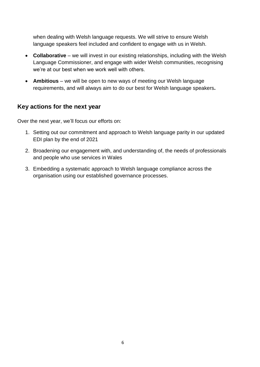when dealing with Welsh language requests. We will strive to ensure Welsh language speakers feel included and confident to engage with us in Welsh.

- **Collaborative** we will invest in our existing relationships, including with the Welsh Language Commissioner, and engage with wider Welsh communities, recognising we're at our best when we work well with others.
- **Ambitious** we will be open to new ways of meeting our Welsh language requirements, and will always aim to do our best for Welsh language speakers**.**

#### **Key actions for the next year**

Over the next year, we'll focus our efforts on:

- 1. Setting out our commitment and approach to Welsh language parity in our updated EDI plan by the end of 2021
- 2. Broadening our engagement with, and understanding of, the needs of professionals and people who use services in Wales
- 3. Embedding a systematic approach to Welsh language compliance across the organisation using our established governance processes.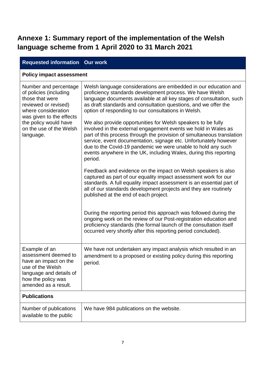# **Annexe 1: Summary report of the implementation of the Welsh language scheme from 1 April 2020 to 31 March 2021**

| <b>Requested information</b>                                                                                                                                                                                   | <b>Our work</b>                                                                                                                                                                                                                                                                                                                                                                                                              |  |
|----------------------------------------------------------------------------------------------------------------------------------------------------------------------------------------------------------------|------------------------------------------------------------------------------------------------------------------------------------------------------------------------------------------------------------------------------------------------------------------------------------------------------------------------------------------------------------------------------------------------------------------------------|--|
| <b>Policy impact assessment</b>                                                                                                                                                                                |                                                                                                                                                                                                                                                                                                                                                                                                                              |  |
| Number and percentage<br>of policies (including<br>those that were<br>reviewed or revised)<br>where consideration<br>was given to the effects<br>the policy would have<br>on the use of the Welsh<br>language. | Welsh language considerations are embedded in our education and<br>proficiency standards development process. We have Welsh<br>language documents available at all key stages of consultation, such<br>as draft standards and consultation questions, and we offer the<br>option of responding to our consultations in Welsh.                                                                                                |  |
|                                                                                                                                                                                                                | We also provide opportunities for Welsh speakers to be fully<br>involved in the external engagement events we hold in Wales as<br>part of this process through the provision of simultaneous translation<br>service, event documentation, signage etc. Unfortunately however<br>due to the Covid-19 pandemic we were unable to hold any such<br>events anywhere in the UK, including Wales, during this reporting<br>period. |  |
|                                                                                                                                                                                                                | Feedback and evidence on the impact on Welsh speakers is also<br>captured as part of our equality impact assessment work for our<br>standards. A full equality impact assessment is an essential part of<br>all of our standards development projects and they are routinely<br>published at the end of each project.                                                                                                        |  |
|                                                                                                                                                                                                                | During the reporting period this approach was followed during the<br>ongoing work on the review of our Post-registration education and<br>proficiency standards (the formal launch of the consultation itself<br>occurred very shortly after this reporting period concluded).                                                                                                                                               |  |
| Example of an<br>assessment deemed to<br>have an impact on the<br>use of the Welsh<br>language and details of<br>how the policy was<br>amended as a result.                                                    | We have not undertaken any impact analysis which resulted in an<br>amendment to a proposed or existing policy during this reporting<br>period.                                                                                                                                                                                                                                                                               |  |
| <b>Publications</b>                                                                                                                                                                                            |                                                                                                                                                                                                                                                                                                                                                                                                                              |  |
| Number of publications<br>available to the public                                                                                                                                                              | We have 984 publications on the website.                                                                                                                                                                                                                                                                                                                                                                                     |  |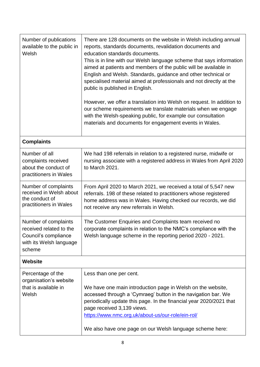| Number of publications<br>available to the public in<br>Welsh                                                | There are 128 documents on the website in Welsh including annual<br>reports, standards documents, revalidation documents and<br>education standards documents.<br>This is in line with our Welsh language scheme that says information<br>aimed at patients and members of the public will be available in<br>English and Welsh. Standards, guidance and other technical or<br>specialised material aimed at professionals and not directly at the<br>public is published in English.<br>However, we offer a translation into Welsh on request. In addition to<br>our scheme requirements we translate materials when we engage<br>with the Welsh-speaking public, for example our consultation<br>materials and documents for engagement events in Wales. |  |
|--------------------------------------------------------------------------------------------------------------|------------------------------------------------------------------------------------------------------------------------------------------------------------------------------------------------------------------------------------------------------------------------------------------------------------------------------------------------------------------------------------------------------------------------------------------------------------------------------------------------------------------------------------------------------------------------------------------------------------------------------------------------------------------------------------------------------------------------------------------------------------|--|
| <b>Complaints</b>                                                                                            |                                                                                                                                                                                                                                                                                                                                                                                                                                                                                                                                                                                                                                                                                                                                                            |  |
| Number of all<br>complaints received<br>about the conduct of<br>practitioners in Wales                       | We had 198 referrals in relation to a registered nurse, midwife or<br>nursing associate with a registered address in Wales from April 2020<br>to March 2021.                                                                                                                                                                                                                                                                                                                                                                                                                                                                                                                                                                                               |  |
| Number of complaints<br>received in Welsh about<br>the conduct of<br>practitioners in Wales                  | From April 2020 to March 2021, we received a total of 5,547 new<br>referrals. 198 of these related to practitioners whose registered<br>home address was in Wales. Having checked our records, we did<br>not receive any new referrals in Welsh.                                                                                                                                                                                                                                                                                                                                                                                                                                                                                                           |  |
| Number of complaints<br>received related to the<br>Council's compliance<br>with its Welsh language<br>scheme | The Customer Enquiries and Complaints team received no<br>corporate complaints in relation to the NMC's compliance with the<br>Welsh language scheme in the reporting period 2020 - 2021.                                                                                                                                                                                                                                                                                                                                                                                                                                                                                                                                                                  |  |
| <b>Website</b>                                                                                               |                                                                                                                                                                                                                                                                                                                                                                                                                                                                                                                                                                                                                                                                                                                                                            |  |
| Percentage of the<br>organisation's website<br>that is available in<br>Welsh                                 | Less than one per cent.<br>We have one main introduction page in Welsh on the website,<br>accessed through a 'Cymraeg' button in the navigation bar. We<br>periodically update this page. In the financial year 2020/2021 that<br>page received 3,139 views.<br>https://www.nmc.org.uk/about-us/our-role/ein-rol/<br>We also have one page on our Welsh language scheme here:                                                                                                                                                                                                                                                                                                                                                                              |  |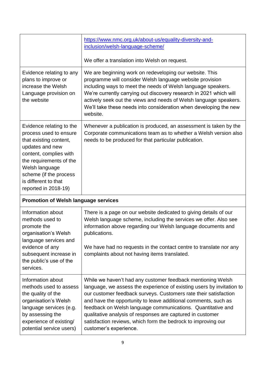| Evidence relating to any                                                                                                                                                                                                                         | https://www.nmc.org.uk/about-us/equality-diversity-and-<br>inclusion/welsh-language-scheme/<br>We offer a translation into Welsh on request.<br>We are beginning work on redeveloping our website. This                                                                                                                                                                                                 |  |
|--------------------------------------------------------------------------------------------------------------------------------------------------------------------------------------------------------------------------------------------------|---------------------------------------------------------------------------------------------------------------------------------------------------------------------------------------------------------------------------------------------------------------------------------------------------------------------------------------------------------------------------------------------------------|--|
| plans to improve or<br>increase the Welsh<br>Language provision on<br>the website                                                                                                                                                                | programme will consider Welsh language website provision<br>including ways to meet the needs of Welsh language speakers.<br>We're currently carrying out discovery research in 2021 which will<br>actively seek out the views and needs of Welsh language speakers.<br>We'll take these needs into consideration when developing the new<br>website.                                                    |  |
| Evidence relating to the<br>process used to ensure<br>that existing content,<br>updates and new<br>content, complies with<br>the requirements of the<br>Welsh language<br>scheme (if the process<br>is different to that<br>reported in 2018-19) | Whenever a publication is produced, an assessment is taken by the<br>Corporate communications team as to whether a Welsh version also<br>needs to be produced for that particular publication.                                                                                                                                                                                                          |  |
| <b>Promotion of Welsh language services</b>                                                                                                                                                                                                      |                                                                                                                                                                                                                                                                                                                                                                                                         |  |
| Information about<br>methods used to<br>promote the<br>organisation's Welsh<br>language services and<br>evidence of any<br>subsequent increase in<br>the public's use of the<br>services.                                                        | There is a page on our website dedicated to giving details of our<br>Welsh language scheme, including the services we offer. Also see<br>information above regarding our Welsh language documents and<br>publications.<br>We have had no requests in the contact centre to translate nor any<br>complaints about not having items translated.                                                           |  |
| Information about<br>methods used to assess<br>the quality of the<br>organisation's Welsh<br>language services (e.g.<br>by assessing the                                                                                                         | While we haven't had any customer feedback mentioning Welsh<br>language, we assess the experience of existing users by invitation to<br>our customer feedback surveys. Customers rate their satisfaction<br>and have the opportunity to leave additional comments, such as<br>feedback on Welsh language communications. Quantitative and<br>qualitative analysis of responses are captured in customer |  |